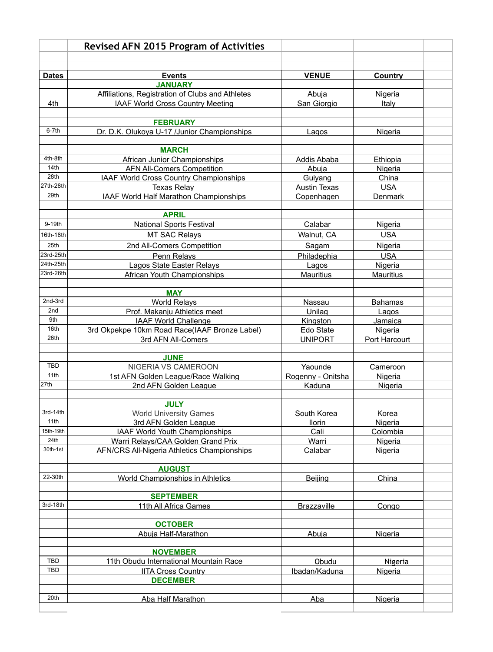|                   | <b>Revised AFN 2015 Program of Activities</b>                                                   |                           |                                    |  |
|-------------------|-------------------------------------------------------------------------------------------------|---------------------------|------------------------------------|--|
|                   |                                                                                                 |                           |                                    |  |
| <b>Dates</b>      | <b>Events</b>                                                                                   | <b>VENUE</b>              | <b>Country</b>                     |  |
|                   | <b>JANUARY</b>                                                                                  |                           |                                    |  |
| 4th               | Affiliations, Registration of Clubs and Athletes                                                | Abuja                     | <b>Nigeria</b>                     |  |
|                   | <b>IAAF World Cross Country Meeting</b>                                                         | San Giorgio               | Italy                              |  |
|                   | <b>FEBRUARY</b>                                                                                 |                           |                                    |  |
| $6-7th$           | Dr. D.K. Olukoya U-17 /Junior Championships                                                     | Lagos                     | <b>Nigeria</b>                     |  |
|                   | <b>MARCH</b>                                                                                    |                           |                                    |  |
| 4th-8th           | <b>African Junior Championships</b>                                                             | <b>Addis Ababa</b>        | Ethiopia                           |  |
| 14th              | <b>AFN All-Comers Competition</b>                                                               | Abuja                     | Nigeria                            |  |
| 28th              | <b>IAAF World Cross Country Championships</b>                                                   | Guiyang                   | China                              |  |
| 27th-28th         | <b>Texas Relay</b>                                                                              | <b>Austin Texas</b>       | <b>USA</b>                         |  |
| 29th              | <b>IAAF World Half Marathon Championships</b>                                                   | Copenhagen                | <b>Denmark</b>                     |  |
|                   |                                                                                                 |                           |                                    |  |
| 9-19th            | <b>APRIL</b>                                                                                    | Calabar                   | Nigeria                            |  |
| 16th-18th         | <b>National Sports Festival</b>                                                                 |                           | <b>USA</b>                         |  |
| 25th              | <b>MT SAC Relays</b>                                                                            | Walnut, CA                |                                    |  |
| 23rd-25th         | 2nd All-Comers Competition                                                                      | Sagam                     | <b>Nigeria</b>                     |  |
| 24th-25th         | Penn Relays                                                                                     | Philadephia               | <b>USA</b>                         |  |
| 23rd-26th         | Lagos State Easter Relays<br><b>African Youth Championships</b>                                 | Lagos<br><b>Mauritius</b> | <b>Nigeria</b><br><b>Mauritius</b> |  |
|                   |                                                                                                 |                           |                                    |  |
|                   | <b>MAY</b>                                                                                      |                           |                                    |  |
| 2nd-3rd           | <b>World Relays</b>                                                                             | Nassau                    | <b>Bahamas</b>                     |  |
| 2nd               | Prof. Makanju Athletics meet                                                                    | Unilag                    | Lagos                              |  |
| 9th               | <b>IAAF World Challenge</b>                                                                     | Kingston                  | Jamaica                            |  |
| 16th              | 3rd Okpekpe 10km Road Race(IAAF Bronze Label)                                                   | Edo State                 | <b>Nigeria</b>                     |  |
| 26th              | 3rd AFN All-Comers                                                                              | <b>UNIPORT</b>            | Port Harcourt                      |  |
|                   | <b>JUNE</b>                                                                                     |                           |                                    |  |
| <b>TBD</b>        | <b>NIGERIA VS CAMEROON</b>                                                                      | Yaounde                   | Cameroon                           |  |
| 11th              | 1st AFN Golden League/Race Walking                                                              | Rogenny - Onitsha         | <b>Nigeria</b>                     |  |
| 27th              | 2nd AFN Golden League                                                                           | Kaduna                    | <b>Nigeria</b>                     |  |
|                   |                                                                                                 |                           |                                    |  |
|                   | <b>JULY</b>                                                                                     |                           |                                    |  |
| 3rd-14th          | <b>World University Games</b>                                                                   | South Korea               | Korea                              |  |
| 11th              | 3rd AFN Golden League                                                                           | <b>Ilorin</b>             | Nigeria                            |  |
| 15th-19th<br>24th | <b>IAAF World Youth Championships</b>                                                           | Cali                      | Colombia                           |  |
| 30th-1st          | <b>Warri Relays/CAA Golden Grand Prix</b><br><b>AFN/CRS All-Nigeria Athletics Championships</b> | Warri<br>Calabar          | Nigeria<br><b>Nigeria</b>          |  |
|                   |                                                                                                 |                           |                                    |  |
|                   | <b>AUGUST</b>                                                                                   |                           |                                    |  |
| 22-30th           | <b>World Championships in Athletics</b>                                                         | <b>Beijing</b>            | China                              |  |
|                   |                                                                                                 |                           |                                    |  |
|                   | <b>SEPTEMBER</b>                                                                                |                           |                                    |  |
| 3rd-18th          | 11th All Africa Games                                                                           | <b>Brazzaville</b>        | Congo                              |  |
|                   |                                                                                                 |                           |                                    |  |
|                   | <b>OCTOBER</b>                                                                                  |                           |                                    |  |
|                   | Abuja Half-Marathon                                                                             | Abuja                     | Nigeria                            |  |
|                   | <b>NOVEMBER</b>                                                                                 |                           |                                    |  |
| <b>TBD</b>        | 11th Obudu International Mountain Race                                                          | Obudu                     | <b>Nigeria</b>                     |  |
| <b>TBD</b>        | <b>IITA Cross Country</b>                                                                       | Ibadan/Kaduna             | Nigeria                            |  |
|                   | <b>DECEMBER</b>                                                                                 |                           |                                    |  |
|                   |                                                                                                 |                           |                                    |  |
| 20th              | Aba Half Marathon                                                                               | Aba                       | <b>Nigeria</b>                     |  |
|                   |                                                                                                 |                           |                                    |  |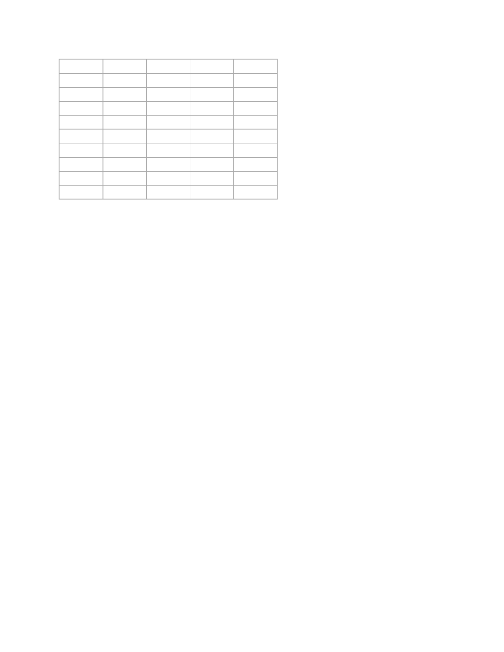|  |                                                                                                                 |                                                                                                                      | the control of the control of the control of |  |
|--|-----------------------------------------------------------------------------------------------------------------|----------------------------------------------------------------------------------------------------------------------|----------------------------------------------|--|
|  |                                                                                                                 |                                                                                                                      |                                              |  |
|  |                                                                                                                 |                                                                                                                      |                                              |  |
|  |                                                                                                                 |                                                                                                                      |                                              |  |
|  |                                                                                                                 | <u> 1989 - Jan Sarajević, politički predsjednik i politički karacistički koji i politički karacistički koji i po</u> |                                              |  |
|  | the contract of the contract of the contract of the contract of the contract of the contract of the contract of |                                                                                                                      |                                              |  |
|  |                                                                                                                 |                                                                                                                      |                                              |  |
|  |                                                                                                                 | the control of the control of the control of                                                                         |                                              |  |
|  | the control of the control of the control of                                                                    |                                                                                                                      | the control of the control of the control of |  |